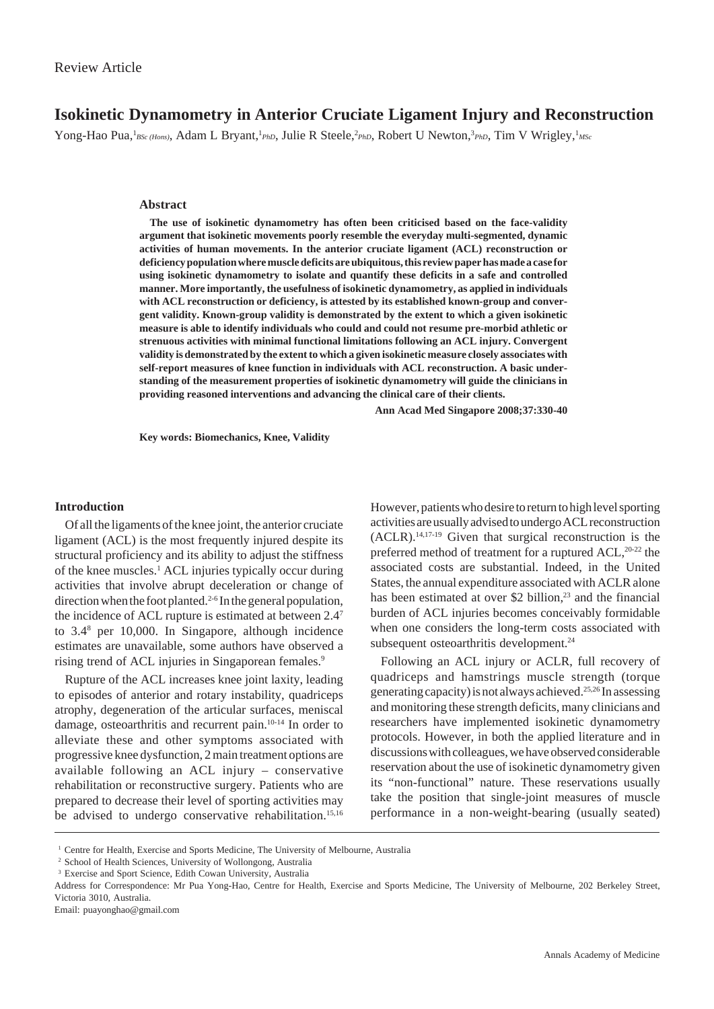# **Isokinetic Dynamometry in Anterior Cruciate Ligament Injury and Reconstruction**

Yong-Hao Pua, <sup>*BSc (Hons)*, Adam L Bryant, <sup>*P<sub>PhD</sub>*, Julie R Steele, <sup>2</sup>PhD</sup>, Robert U Newton,<sup>3</sup>PhD, Tim V Wrigley, <sup>1</sup>MSc</sup>

## **Abstract**

**The use of isokinetic dynamometry has often been criticised based on the face-validity argument that isokinetic movements poorly resemble the everyday multi-segmented, dynamic activities of human movements. In the anterior cruciate ligament (ACL) reconstruction or deficiency population where muscle deficits are ubiquitous, this review paper has made a case for using isokinetic dynamometry to isolate and quantify these deficits in a safe and controlled manner. More importantly, the usefulness of isokinetic dynamometry, as applied in individuals with ACL reconstruction or deficiency, is attested by its established known-group and convergent validity. Known-group validity is demonstrated by the extent to which a given isokinetic measure is able to identify individuals who could and could not resume pre-morbid athletic or strenuous activities with minimal functional limitations following an ACL injury. Convergent validity is demonstrated by the extent to which a given isokinetic measure closely associates with self-report measures of knee function in individuals with ACL reconstruction. A basic understanding of the measurement properties of isokinetic dynamometry will guide the clinicians in providing reasoned interventions and advancing the clinical care of their clients.**

**Ann Acad Med Singapore 2008;37:330-40**

**Key words: Biomechanics, Knee, Validity**

### **Introduction**

Of all the ligaments of the knee joint, the anterior cruciate ligament (ACL) is the most frequently injured despite its structural proficiency and its ability to adjust the stiffness of the knee muscles.<sup>1</sup> ACL injuries typically occur during activities that involve abrupt deceleration or change of direction when the foot planted.<sup>2-6</sup> In the general population, the incidence of ACL rupture is estimated at between 2.47 to 3.48 per 10,000. In Singapore, although incidence estimates are unavailable, some authors have observed a rising trend of ACL injuries in Singaporean females.<sup>9</sup>

Rupture of the ACL increases knee joint laxity, leading to episodes of anterior and rotary instability, quadriceps atrophy, degeneration of the articular surfaces, meniscal damage, osteoarthritis and recurrent pain.10-14 In order to alleviate these and other symptoms associated with progressive knee dysfunction, 2 main treatment options are available following an ACL injury – conservative rehabilitation or reconstructive surgery. Patients who are prepared to decrease their level of sporting activities may be advised to undergo conservative rehabilitation.<sup>15,16</sup>

However, patients who desire to return to high level sporting activities are usually advised to undergo ACL reconstruction (ACLR).14,17-19 Given that surgical reconstruction is the preferred method of treatment for a ruptured  $ACL$ ,<sup>20-22</sup> the associated costs are substantial. Indeed, in the United States, the annual expenditure associated with ACLR alone has been estimated at over \$2 billion, $2<sup>3</sup>$  and the financial burden of ACL injuries becomes conceivably formidable when one considers the long-term costs associated with subsequent osteoarthritis development.<sup>24</sup>

Following an ACL injury or ACLR, full recovery of quadriceps and hamstrings muscle strength (torque generating capacity) is not always achieved.25,26 In assessing and monitoring these strength deficits, many clinicians and researchers have implemented isokinetic dynamometry protocols. However, in both the applied literature and in discussions with colleagues, we have observed considerable reservation about the use of isokinetic dynamometry given its "non-functional" nature. These reservations usually take the position that single-joint measures of muscle performance in a non-weight-bearing (usually seated)

<sup>&</sup>lt;sup>1</sup> Centre for Health, Exercise and Sports Medicine, The University of Melbourne, Australia

<sup>&</sup>lt;sup>2</sup> School of Health Sciences, University of Wollongong, Australia

<sup>3</sup> Exercise and Sport Science, Edith Cowan University, Australia

Address for Correspondence: Mr Pua Yong-Hao, Centre for Health, Exercise and Sports Medicine, The University of Melbourne, 202 Berkeley Street, Victoria 3010, Australia.

Email: puayonghao@gmail.com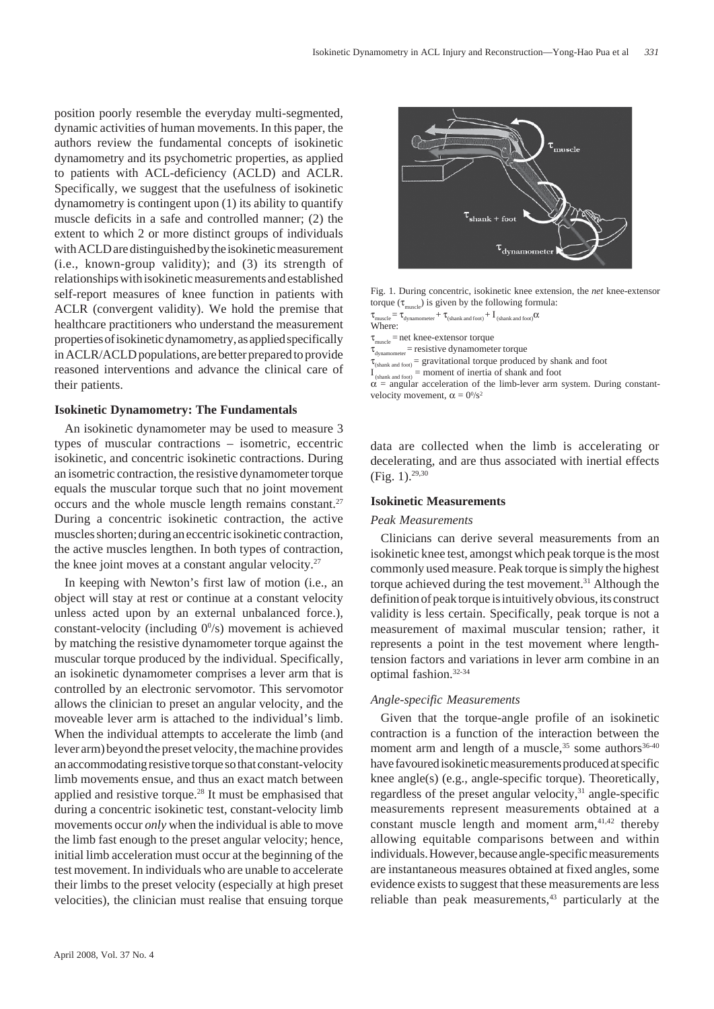position poorly resemble the everyday multi-segmented, dynamic activities of human movements. In this paper, the authors review the fundamental concepts of isokinetic dynamometry and its psychometric properties, as applied to patients with ACL-deficiency (ACLD) and ACLR. Specifically, we suggest that the usefulness of isokinetic dynamometry is contingent upon (1) its ability to quantify muscle deficits in a safe and controlled manner; (2) the extent to which 2 or more distinct groups of individuals with ACLD are distinguished by the isokinetic measurement (i.e., known-group validity); and (3) its strength of relationships with isokinetic measurements and established self-report measures of knee function in patients with ACLR (convergent validity). We hold the premise that healthcare practitioners who understand the measurement properties of isokinetic dynamometry, as applied specifically in ACLR/ACLD populations, are better prepared to provide reasoned interventions and advance the clinical care of their patients.

#### **Isokinetic Dynamometry: The Fundamentals**

An isokinetic dynamometer may be used to measure 3 types of muscular contractions – isometric, eccentric isokinetic, and concentric isokinetic contractions. During an isometric contraction, the resistive dynamometer torque equals the muscular torque such that no joint movement occurs and the whole muscle length remains constant.<sup>27</sup> During a concentric isokinetic contraction, the active muscles shorten; during an eccentric isokinetic contraction, the active muscles lengthen. In both types of contraction, the knee joint moves at a constant angular velocity.27

In keeping with Newton's first law of motion (i.e., an object will stay at rest or continue at a constant velocity unless acted upon by an external unbalanced force.), constant-velocity (including  $0^0/s$ ) movement is achieved by matching the resistive dynamometer torque against the muscular torque produced by the individual. Specifically, an isokinetic dynamometer comprises a lever arm that is controlled by an electronic servomotor. This servomotor allows the clinician to preset an angular velocity, and the moveable lever arm is attached to the individual's limb. When the individual attempts to accelerate the limb (and lever arm) beyond the preset velocity, the machine provides an accommodating resistive torque so that constant-velocity limb movements ensue, and thus an exact match between applied and resistive torque.<sup>28</sup> It must be emphasised that during a concentric isokinetic test, constant-velocity limb movements occur *only* when the individual is able to move the limb fast enough to the preset angular velocity; hence, initial limb acceleration must occur at the beginning of the test movement. In individuals who are unable to accelerate their limbs to the preset velocity (especially at high preset velocities), the clinician must realise that ensuing torque



Fig. 1. During concentric, isokinetic knee extension, the *net* knee-extensor torque ( $\tau_{\text{muscle}}$ ) is given by the following formula:

 $t_{\rm{uscle}} = \tau_{\rm{dynamic}} + \tau_{\rm{(shank\,and\,foot)}} + 1_{\rm{(shank\,and\,foot)}} \alpha$ 

Where:

 $\tau_{\text{muscle}}$  = net knee-extensor torque

 $\tau_{\text{dynamic}}$  = resistive dynamometer torque

 $\tau_{\text{(shank and foot)}} =$  gravitational torque produced by shank and foot

 $I_{(shank and foot)} =$  moment of inertia of shank and foot

 $\alpha$  = angular acceleration of the limb-lever arm system. During constantvelocity movement,  $\alpha = 0^0/s^2$ 

data are collected when the limb is accelerating or decelerating, and are thus associated with inertial effects (Fig. 1).29,30

#### **Isokinetic Measurements**

### *Peak Measurements*

Clinicians can derive several measurements from an isokinetic knee test, amongst which peak torque is the most commonly used measure. Peak torque is simply the highest torque achieved during the test movement.<sup>31</sup> Although the definition of peak torque is intuitively obvious, its construct validity is less certain. Specifically, peak torque is not a measurement of maximal muscular tension; rather, it represents a point in the test movement where lengthtension factors and variations in lever arm combine in an optimal fashion.32-34

## *Angle-specific Measurements*

Given that the torque-angle profile of an isokinetic contraction is a function of the interaction between the moment arm and length of a muscle,  $35$  some authors  $36-40$ have favoured isokinetic measurements produced at specific knee angle(s) (e.g., angle-specific torque). Theoretically, regardless of the preset angular velocity,<sup>31</sup> angle-specific measurements represent measurements obtained at a constant muscle length and moment  $arm, <sup>41,42</sup>$  thereby allowing equitable comparisons between and within individuals. However, because angle-specific measurements are instantaneous measures obtained at fixed angles, some evidence exists to suggest that these measurements are less reliable than peak measurements,<sup>43</sup> particularly at the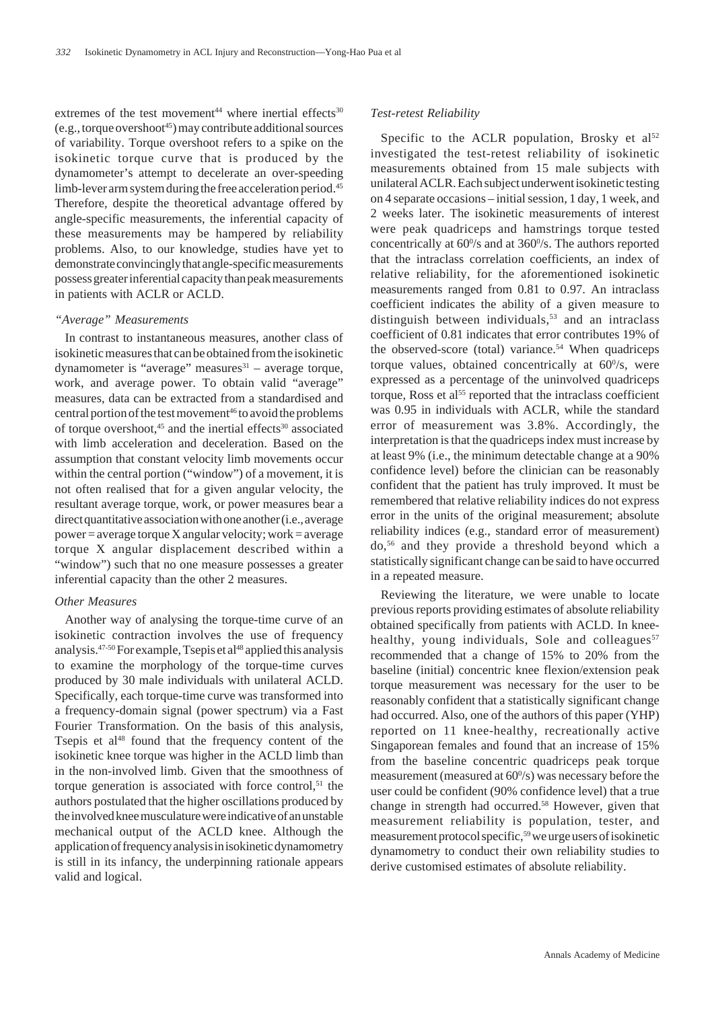extremes of the test movement<sup>44</sup> where inertial effects<sup>30</sup>  $(e.g., torque over shoot<sup>45</sup>)$  may contribute additional sources of variability. Torque overshoot refers to a spike on the isokinetic torque curve that is produced by the dynamometer's attempt to decelerate an over-speeding limb-lever arm system during the free acceleration period.<sup>45</sup> Therefore, despite the theoretical advantage offered by angle-specific measurements, the inferential capacity of these measurements may be hampered by reliability problems. Also, to our knowledge, studies have yet to demonstrate convincingly that angle-specific measurements possess greater inferential capacity than peak measurements in patients with ACLR or ACLD.

#### *"Average" Measurements*

In contrast to instantaneous measures, another class of isokinetic measures that can be obtained from the isokinetic dynamometer is "average" measures $31 -$ average torque, work, and average power. To obtain valid "average" measures, data can be extracted from a standardised and central portion of the test movement<sup>46</sup> to avoid the problems of torque overshoot, $45$  and the inertial effects $30$  associated with limb acceleration and deceleration. Based on the assumption that constant velocity limb movements occur within the central portion ("window") of a movement, it is not often realised that for a given angular velocity, the resultant average torque, work, or power measures bear a direct quantitative association with one another (i.e., average  $power = average torque X angular velocity; work = average$ torque X angular displacement described within a "window") such that no one measure possesses a greater inferential capacity than the other 2 measures.

#### *Other Measures*

Another way of analysing the torque-time curve of an isokinetic contraction involves the use of frequency analysis. $47-50$  For example, Tsepis et al<sup>48</sup> applied this analysis to examine the morphology of the torque-time curves produced by 30 male individuals with unilateral ACLD. Specifically, each torque-time curve was transformed into a frequency-domain signal (power spectrum) via a Fast Fourier Transformation. On the basis of this analysis, Tsepis et al<sup>48</sup> found that the frequency content of the isokinetic knee torque was higher in the ACLD limb than in the non-involved limb. Given that the smoothness of torque generation is associated with force control, $51$  the authors postulated that the higher oscillations produced by the involved knee musculature were indicative of an unstable mechanical output of the ACLD knee. Although the application of frequency analysis in isokinetic dynamometry is still in its infancy, the underpinning rationale appears valid and logical.

#### *Test-retest Reliability*

Specific to the ACLR population, Brosky et  $al^{52}$ investigated the test-retest reliability of isokinetic measurements obtained from 15 male subjects with unilateral ACLR. Each subject underwent isokinetic testing on 4 separate occasions – initial session, 1 day, 1 week, and 2 weeks later. The isokinetic measurements of interest were peak quadriceps and hamstrings torque tested concentrically at 60% and at 360%. The authors reported that the intraclass correlation coefficients, an index of relative reliability, for the aforementioned isokinetic measurements ranged from 0.81 to 0.97. An intraclass coefficient indicates the ability of a given measure to distinguish between individuals,<sup>53</sup> and an intraclass coefficient of 0.81 indicates that error contributes 19% of the observed-score (total) variance.<sup>54</sup> When quadriceps torque values, obtained concentrically at  $60\%$ , were expressed as a percentage of the uninvolved quadriceps torque, Ross et al<sup>55</sup> reported that the intraclass coefficient was 0.95 in individuals with ACLR, while the standard error of measurement was 3.8%. Accordingly, the interpretation is that the quadriceps index must increase by at least 9% (i.e., the minimum detectable change at a 90% confidence level) before the clinician can be reasonably confident that the patient has truly improved. It must be remembered that relative reliability indices do not express error in the units of the original measurement; absolute reliability indices (e.g., standard error of measurement) do,56 and they provide a threshold beyond which a statistically significant change can be said to have occurred in a repeated measure.

Reviewing the literature, we were unable to locate previous reports providing estimates of absolute reliability obtained specifically from patients with ACLD. In kneehealthy, young individuals, Sole and colleagues<sup>57</sup> recommended that a change of 15% to 20% from the baseline (initial) concentric knee flexion/extension peak torque measurement was necessary for the user to be reasonably confident that a statistically significant change had occurred. Also, one of the authors of this paper (YHP) reported on 11 knee-healthy, recreationally active Singaporean females and found that an increase of 15% from the baseline concentric quadriceps peak torque measurement (measured at 60%) was necessary before the user could be confident (90% confidence level) that a true change in strength had occurred.<sup>58</sup> However, given that measurement reliability is population, tester, and measurement protocol specific,59 we urge users of isokinetic dynamometry to conduct their own reliability studies to derive customised estimates of absolute reliability.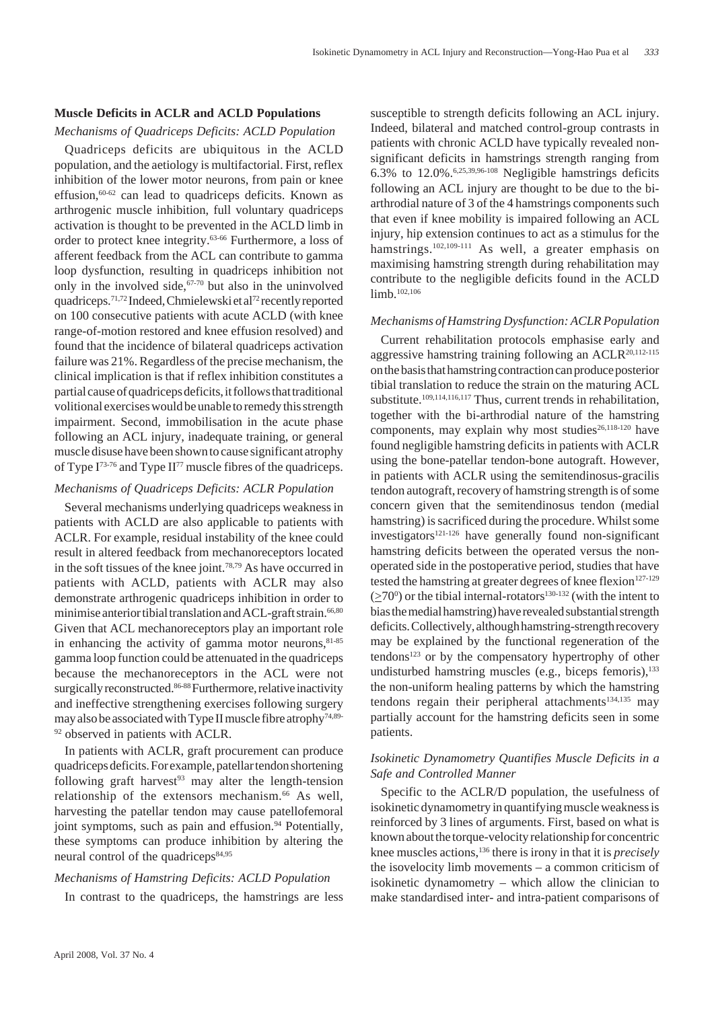## **Muscle Deficits in ACLR and ACLD Populations**

### *Mechanisms of Quadriceps Deficits: ACLD Population*

Quadriceps deficits are ubiquitous in the ACLD population, and the aetiology is multifactorial. First, reflex inhibition of the lower motor neurons, from pain or knee effusion.<sup>60-62</sup> can lead to quadriceps deficits. Known as arthrogenic muscle inhibition, full voluntary quadriceps activation is thought to be prevented in the ACLD limb in order to protect knee integrity.63-66 Furthermore, a loss of afferent feedback from the ACL can contribute to gamma loop dysfunction, resulting in quadriceps inhibition not only in the involved side, $67-70$  but also in the uninvolved quadriceps.71,72 Indeed, Chmielewski et al72 recently reported on 100 consecutive patients with acute ACLD (with knee range-of-motion restored and knee effusion resolved) and found that the incidence of bilateral quadriceps activation failure was 21%. Regardless of the precise mechanism, the clinical implication is that if reflex inhibition constitutes a partial cause of quadriceps deficits, it follows that traditional volitional exercises would be unable to remedy this strength impairment. Second, immobilisation in the acute phase following an ACL injury, inadequate training, or general muscle disuse have been shown to cause significant atrophy of Type  $I^{73-76}$  and Type  $II^{77}$  muscle fibres of the quadriceps.

## *Mechanisms of Quadriceps Deficits: ACLR Population*

Several mechanisms underlying quadriceps weakness in patients with ACLD are also applicable to patients with ACLR. For example, residual instability of the knee could result in altered feedback from mechanoreceptors located in the soft tissues of the knee joint.78,79 As have occurred in patients with ACLD, patients with ACLR may also demonstrate arthrogenic quadriceps inhibition in order to minimise anterior tibial translation and ACL-graft strain.<sup>66,80</sup> Given that ACL mechanoreceptors play an important role in enhancing the activity of gamma motor neurons, $81-85$ gamma loop function could be attenuated in the quadriceps because the mechanoreceptors in the ACL were not surgically reconstructed.<sup>86-88</sup> Furthermore, relative inactivity and ineffective strengthening exercises following surgery may also be associated with Type II muscle fibre atrophy<sup>74,89-</sup> <sup>92</sup> observed in patients with ACLR.

In patients with ACLR, graft procurement can produce quadriceps deficits. For example, patellar tendon shortening following graft harvest<sup>93</sup> may alter the length-tension relationship of the extensors mechanism.<sup>66</sup> As well, harvesting the patellar tendon may cause patellofemoral joint symptoms, such as pain and effusion.<sup>94</sup> Potentially, these symptoms can produce inhibition by altering the neural control of the quadriceps $84,95$ 

## *Mechanisms of Hamstring Deficits: ACLD Population*

In contrast to the quadriceps, the hamstrings are less

susceptible to strength deficits following an ACL injury. Indeed, bilateral and matched control-group contrasts in patients with chronic ACLD have typically revealed nonsignificant deficits in hamstrings strength ranging from 6.3% to 12.0%.6,25,39,96-108 Negligible hamstrings deficits following an ACL injury are thought to be due to the biarthrodial nature of 3 of the 4 hamstrings components such that even if knee mobility is impaired following an ACL injury, hip extension continues to act as a stimulus for the hamstrings.<sup>102,109-111</sup> As well, a greater emphasis on maximising hamstring strength during rehabilitation may contribute to the negligible deficits found in the ACLD limb.<sup>102,106</sup>

## *Mechanisms of Hamstring Dysfunction: ACLR Population*

Current rehabilitation protocols emphasise early and aggressive hamstring training following an ACLR20,112-115 on the basis that hamstring contraction can produce posterior tibial translation to reduce the strain on the maturing ACL substitute.<sup>109,114,116,117</sup> Thus, current trends in rehabilitation, together with the bi-arthrodial nature of the hamstring components, may explain why most studies<sup>26,118-120</sup> have found negligible hamstring deficits in patients with ACLR using the bone-patellar tendon-bone autograft. However, in patients with ACLR using the semitendinosus-gracilis tendon autograft, recovery of hamstring strength is of some concern given that the semitendinosus tendon (medial hamstring) is sacrificed during the procedure. Whilst some investigators<sup>121-126</sup> have generally found non-significant hamstring deficits between the operated versus the nonoperated side in the postoperative period, studies that have tested the hamstring at greater degrees of knee flexion $127-129$  $(\geq 70^{\circ})$  or the tibial internal-rotators<sup>130-132</sup> (with the intent to bias the medial hamstring) have revealed substantial strength deficits. Collectively, although hamstring-strength recovery may be explained by the functional regeneration of the tendons<sup>123</sup> or by the compensatory hypertrophy of other undisturbed hamstring muscles (e.g., biceps femoris), $133$ the non-uniform healing patterns by which the hamstring tendons regain their peripheral attachments<sup>134,135</sup> may partially account for the hamstring deficits seen in some patients.

## *Isokinetic Dynamometry Quantifies Muscle Deficits in a Safe and Controlled Manner*

Specific to the ACLR/D population, the usefulness of isokinetic dynamometry in quantifying muscle weakness is reinforced by 3 lines of arguments. First, based on what is known about the torque-velocity relationship for concentric knee muscles actions,136 there is irony in that it is *precisely* the isovelocity limb movements – a common criticism of isokinetic dynamometry – which allow the clinician to make standardised inter- and intra-patient comparisons of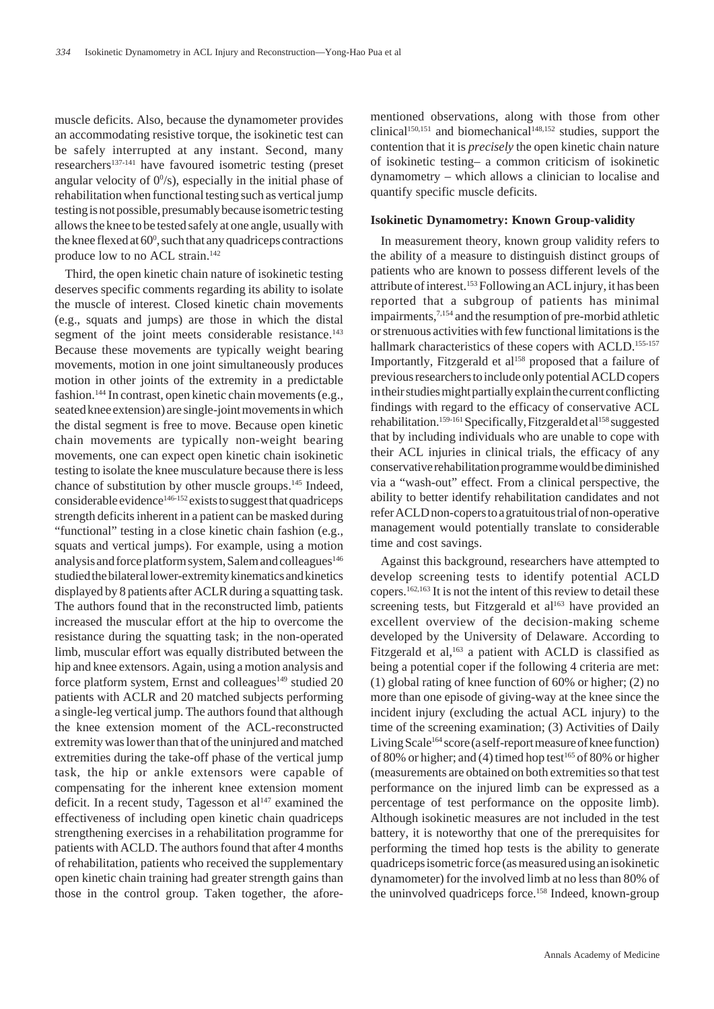muscle deficits. Also, because the dynamometer provides an accommodating resistive torque, the isokinetic test can be safely interrupted at any instant. Second, many researchers137-141 have favoured isometric testing (preset angular velocity of  $0^{\circ}/s$ ), especially in the initial phase of rehabilitation when functional testing such as vertical jump testing is not possible, presumably because isometric testing allows the knee to be tested safely at one angle, usually with the knee flexed at  $60^\circ$ , such that any quadriceps contractions produce low to no ACL strain.<sup>142</sup>

Third, the open kinetic chain nature of isokinetic testing deserves specific comments regarding its ability to isolate the muscle of interest. Closed kinetic chain movements (e.g., squats and jumps) are those in which the distal segment of the joint meets considerable resistance.<sup>143</sup> Because these movements are typically weight bearing movements, motion in one joint simultaneously produces motion in other joints of the extremity in a predictable fashion.<sup>144</sup> In contrast, open kinetic chain movements (e.g., seated knee extension) are single-joint movements in which the distal segment is free to move. Because open kinetic chain movements are typically non-weight bearing movements, one can expect open kinetic chain isokinetic testing to isolate the knee musculature because there is less chance of substitution by other muscle groups.145 Indeed, considerable evidence<sup>146-152</sup> exists to suggest that quadriceps strength deficits inherent in a patient can be masked during "functional" testing in a close kinetic chain fashion (e.g., squats and vertical jumps). For example, using a motion analysis and force platform system, Salem and colleagues<sup>146</sup> studied the bilateral lower-extremity kinematics and kinetics displayed by 8 patients after ACLR during a squatting task. The authors found that in the reconstructed limb, patients increased the muscular effort at the hip to overcome the resistance during the squatting task; in the non-operated limb, muscular effort was equally distributed between the hip and knee extensors. Again, using a motion analysis and force platform system, Ernst and colleagues<sup>149</sup> studied 20 patients with ACLR and 20 matched subjects performing a single-leg vertical jump. The authors found that although the knee extension moment of the ACL-reconstructed extremity was lower than that of the uninjured and matched extremities during the take-off phase of the vertical jump task, the hip or ankle extensors were capable of compensating for the inherent knee extension moment deficit. In a recent study, Tagesson et  $al<sup>147</sup>$  examined the effectiveness of including open kinetic chain quadriceps strengthening exercises in a rehabilitation programme for patients with ACLD. The authors found that after 4 months of rehabilitation, patients who received the supplementary open kinetic chain training had greater strength gains than those in the control group. Taken together, the afore-

mentioned observations, along with those from other clinical<sup>150,151</sup> and biomechanical<sup>148,152</sup> studies, support the contention that it is *precisely* the open kinetic chain nature of isokinetic testing– a common criticism of isokinetic dynamometry – which allows a clinician to localise and quantify specific muscle deficits.

#### **Isokinetic Dynamometry: Known Group-validity**

In measurement theory, known group validity refers to the ability of a measure to distinguish distinct groups of patients who are known to possess different levels of the attribute of interest.153 Following an ACL injury, it has been reported that a subgroup of patients has minimal impairments,<sup>7,154</sup> and the resumption of pre-morbid athletic or strenuous activities with few functional limitations is the hallmark characteristics of these copers with ACLD.<sup>155-157</sup> Importantly, Fitzgerald et al<sup>158</sup> proposed that a failure of previous researchers to include only potential ACLD copers in their studies might partially explain the current conflicting findings with regard to the efficacy of conservative ACL rehabilitation.<sup>159-161</sup> Specifically, Fitzgerald et al<sup>158</sup> suggested that by including individuals who are unable to cope with their ACL injuries in clinical trials, the efficacy of any conservative rehabilitation programme would be diminished via a "wash-out" effect. From a clinical perspective, the ability to better identify rehabilitation candidates and not refer ACLD non-copers to a gratuitous trial of non-operative management would potentially translate to considerable time and cost savings.

Against this background, researchers have attempted to develop screening tests to identify potential ACLD copers.162,163 It is not the intent of this review to detail these screening tests, but Fitzgerald et al<sup>163</sup> have provided an excellent overview of the decision-making scheme developed by the University of Delaware. According to Fitzgerald et al,<sup>163</sup> a patient with ACLD is classified as being a potential coper if the following 4 criteria are met: (1) global rating of knee function of 60% or higher; (2) no more than one episode of giving-way at the knee since the incident injury (excluding the actual ACL injury) to the time of the screening examination; (3) Activities of Daily Living Scale<sup>164</sup> score (a self-report measure of knee function) of 80% or higher; and (4) timed hop test<sup>165</sup> of 80% or higher (measurements are obtained on both extremities so that test performance on the injured limb can be expressed as a percentage of test performance on the opposite limb). Although isokinetic measures are not included in the test battery, it is noteworthy that one of the prerequisites for performing the timed hop tests is the ability to generate quadriceps isometric force (as measured using an isokinetic dynamometer) for the involved limb at no less than 80% of the uninvolved quadriceps force.<sup>158</sup> Indeed, known-group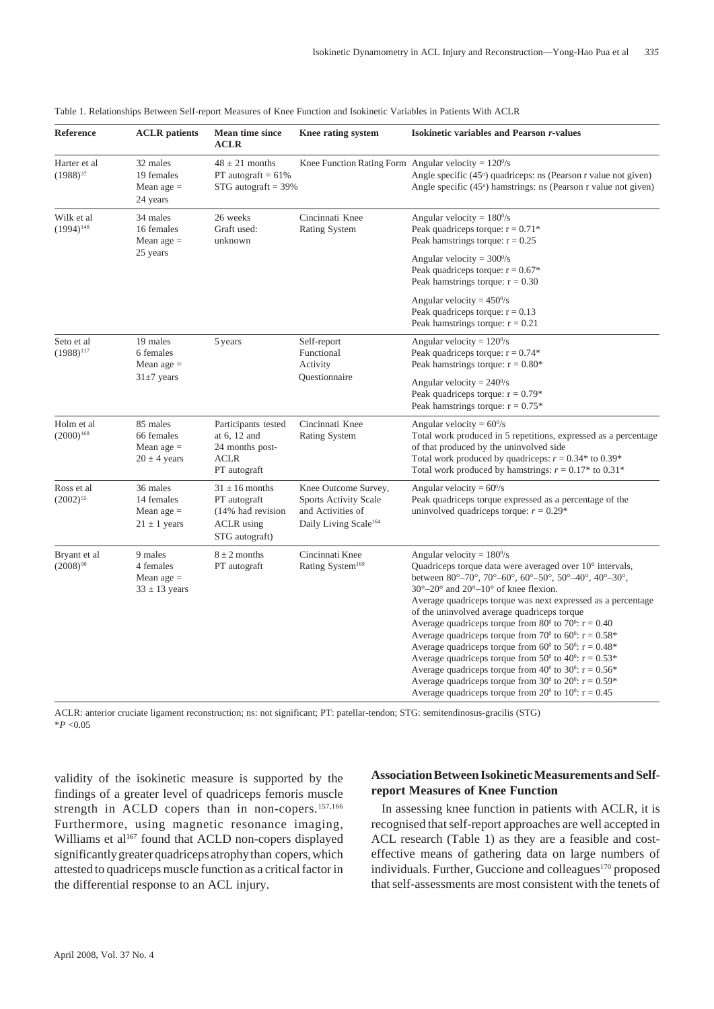| Reference                     | <b>ACLR</b> patients                                       | <b>Mean time since</b><br><b>ACLR</b>                                                          | Knee rating system                                                                                             | <b>Isokinetic variables and Pearson r-values</b>                                                                                                                                                                                                                                                                                                                                                                                                                                                                                                                                                                                                                                                                                                                                                                                                                                                                                                                                                                                                     |
|-------------------------------|------------------------------------------------------------|------------------------------------------------------------------------------------------------|----------------------------------------------------------------------------------------------------------------|------------------------------------------------------------------------------------------------------------------------------------------------------------------------------------------------------------------------------------------------------------------------------------------------------------------------------------------------------------------------------------------------------------------------------------------------------------------------------------------------------------------------------------------------------------------------------------------------------------------------------------------------------------------------------------------------------------------------------------------------------------------------------------------------------------------------------------------------------------------------------------------------------------------------------------------------------------------------------------------------------------------------------------------------------|
| Harter et al<br>$(1988)^{37}$ | 32 males<br>19 females<br>Mean age $=$<br>24 years         | $48 \pm 21$ months<br>PT autograft $= 61\%$<br>$STG$ autograft = 39%                           | Knee Function Rating Form Angular velocity = $120\%$                                                           | Angle specific $(45^{\circ})$ quadriceps: ns (Pearson r value not given)<br>Angle specific (45 <sup>o</sup> ) hamstrings: ns (Pearson r value not given)                                                                                                                                                                                                                                                                                                                                                                                                                                                                                                                                                                                                                                                                                                                                                                                                                                                                                             |
| Wilk et al<br>$(1994)^{148}$  | 34 males<br>16 females<br>Mean age $=$<br>25 years         | 26 weeks<br>Graft used:<br>unknown                                                             | Cincinnati Knee<br>Rating System                                                                               | Angular velocity = $180\%$<br>Peak quadriceps torque: $r = 0.71$ <sup>*</sup><br>Peak hamstrings torque: $r = 0.25$                                                                                                                                                                                                                                                                                                                                                                                                                                                                                                                                                                                                                                                                                                                                                                                                                                                                                                                                  |
|                               |                                                            |                                                                                                |                                                                                                                | Angular velocity = $300\%$<br>Peak quadriceps torque: $r = 0.67$ <sup>*</sup><br>Peak hamstrings torque: $r = 0.30$                                                                                                                                                                                                                                                                                                                                                                                                                                                                                                                                                                                                                                                                                                                                                                                                                                                                                                                                  |
|                               |                                                            |                                                                                                |                                                                                                                | Angular velocity = $450\%$<br>Peak quadriceps torque: $r = 0.13$<br>Peak hamstrings torque: $r = 0.21$                                                                                                                                                                                                                                                                                                                                                                                                                                                                                                                                                                                                                                                                                                                                                                                                                                                                                                                                               |
| Seto et al<br>$(1988)^{117}$  | 19 males<br>6 females<br>Mean age $=$<br>$31\pm7$ years    | 5 years                                                                                        | Self-report<br>Functional<br>Activity<br>Questionnaire                                                         | Angular velocity = $120\%$<br>Peak quadriceps torque: $r = 0.74*$<br>Peak hamstrings torque: $r = 0.80*$                                                                                                                                                                                                                                                                                                                                                                                                                                                                                                                                                                                                                                                                                                                                                                                                                                                                                                                                             |
|                               |                                                            |                                                                                                |                                                                                                                | Angular velocity = $240\%$<br>Peak quadriceps torque: $r = 0.79$ <sup>*</sup><br>Peak hamstrings torque: $r = 0.75$ <sup>*</sup>                                                                                                                                                                                                                                                                                                                                                                                                                                                                                                                                                                                                                                                                                                                                                                                                                                                                                                                     |
| Holm et al<br>$(2000)^{168}$  | 85 males<br>66 females<br>Mean age $=$<br>$20 \pm 4$ years | Participants tested<br>at 6, 12 and<br>24 months post-<br>ACLR<br>PT autograft                 | Cincinnati Knee<br><b>Rating System</b>                                                                        | Angular velocity = $60\%$<br>Total work produced in 5 repetitions, expressed as a percentage<br>of that produced by the uninvolved side<br>Total work produced by quadriceps: $r = 0.34$ to 0.39 <sup>*</sup><br>Total work produced by hamstrings: $r = 0.17$ to $0.31$ <sup>*</sup>                                                                                                                                                                                                                                                                                                                                                                                                                                                                                                                                                                                                                                                                                                                                                                |
| Ross et al<br>$(2002)^{55}$   | 36 males<br>14 females<br>Mean age $=$<br>$21 \pm 1$ years | $31 \pm 16$ months<br>PT autograft<br>(14% had revision<br><b>ACLR</b> using<br>STG autograft) | Knee Outcome Survey,<br><b>Sports Activity Scale</b><br>and Activities of<br>Daily Living Scale <sup>164</sup> | Angular velocity = $60\%$<br>Peak quadriceps torque expressed as a percentage of the<br>uninvolved quadriceps torque: $r = 0.29$ <sup>*</sup>                                                                                                                                                                                                                                                                                                                                                                                                                                                                                                                                                                                                                                                                                                                                                                                                                                                                                                        |
| Bryant et al<br>$(2008)^{90}$ | 9 males<br>4 females<br>Mean age $=$<br>$33 \pm 13$ years  | $8 \pm 2$ months<br>PT autograft                                                               | Cincinnati Knee<br>Rating System <sup>169</sup>                                                                | Angular velocity = $180\%$<br>Quadriceps torque data were averaged over 10° intervals,<br>between $80^{\circ} - 70^{\circ}$ , $70^{\circ} - 60^{\circ}$ , $60^{\circ} - 50^{\circ}$ , $50^{\circ} - 40^{\circ}$ , $40^{\circ} - 30^{\circ}$ ,<br>$30^{\circ} - 20^{\circ}$ and $20^{\circ} - 10^{\circ}$ of knee flexion.<br>Average quadriceps torque was next expressed as a percentage<br>of the uninvolved average quadriceps torque<br>Average quadriceps torque from 80 <sup>0</sup> to 70 <sup>0</sup> : $r = 0.40$<br>Average quadriceps torque from 70 <sup>0</sup> to 60 <sup>0</sup> : $r = 0.58$ <sup>*</sup><br>Average quadriceps torque from 60 <sup>0</sup> to 50 <sup>0</sup> : $r = 0.48^*$<br>Average quadriceps torque from 50 <sup>0</sup> to 40 <sup>0</sup> : $r = 0.53$ <sup>*</sup><br>Average quadriceps torque from $40^{\circ}$ to $30^{\circ}$ : r = 0.56*<br>Average quadriceps torque from $30^{\circ}$ to $20^{\circ}$ : r = 0.59*<br>Average quadriceps torque from 20 <sup>0</sup> to 10 <sup>0</sup> : $r = 0.45$ |

#### Table 1. Relationships Between Self-report Measures of Knee Function and Isokinetic Variables in Patients With ACLR

ACLR: anterior cruciate ligament reconstruction; ns: not significant; PT: patellar-tendon; STG: semitendinosus-gracilis (STG)  $*P < 0.05$ 

validity of the isokinetic measure is supported by the findings of a greater level of quadriceps femoris muscle strength in ACLD copers than in non-copers.<sup>157,166</sup> Furthermore, using magnetic resonance imaging, Williams et al<sup>167</sup> found that ACLD non-copers displayed significantly greater quadriceps atrophy than copers, which attested to quadriceps muscle function as a critical factor in the differential response to an ACL injury.

## **Association Between Isokinetic Measurements and Selfreport Measures of Knee Function**

In assessing knee function in patients with ACLR, it is recognised that self-report approaches are well accepted in ACL research (Table 1) as they are a feasible and costeffective means of gathering data on large numbers of individuals. Further, Guccione and colleagues<sup>170</sup> proposed that self-assessments are most consistent with the tenets of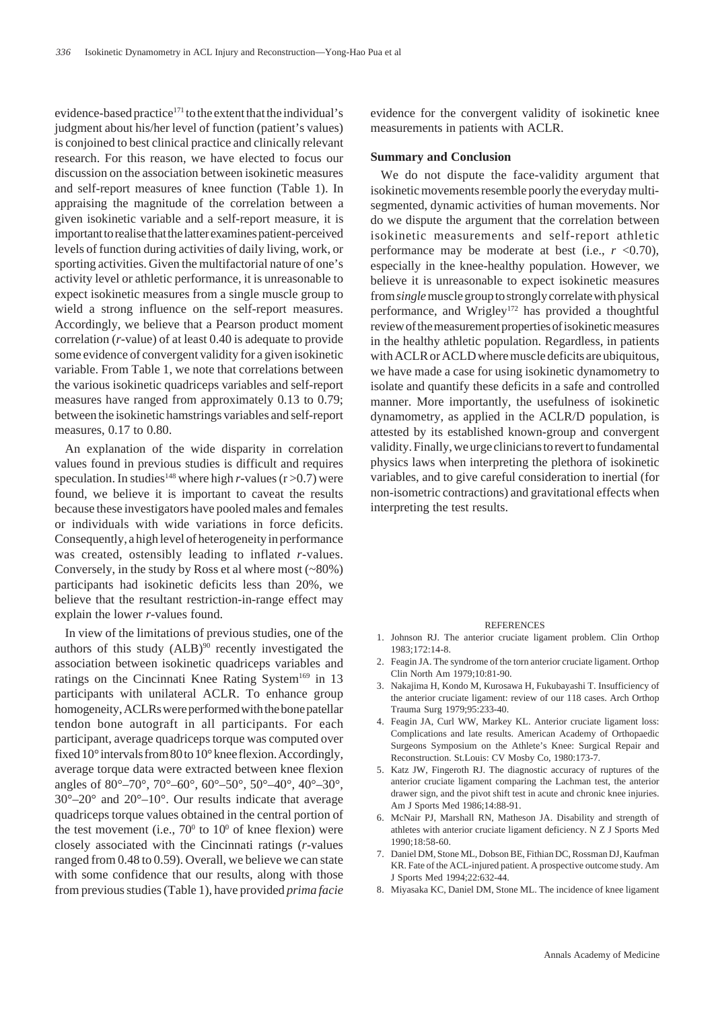evidence-based practice<sup>171</sup> to the extent that the individual's judgment about his/her level of function (patient's values) is conjoined to best clinical practice and clinically relevant research. For this reason, we have elected to focus our discussion on the association between isokinetic measures and self-report measures of knee function (Table 1). In appraising the magnitude of the correlation between a given isokinetic variable and a self-report measure, it is important to realise that the latter examines patient-perceived levels of function during activities of daily living, work, or sporting activities. Given the multifactorial nature of one's activity level or athletic performance, it is unreasonable to expect isokinetic measures from a single muscle group to wield a strong influence on the self-report measures. Accordingly, we believe that a Pearson product moment correlation (*r*-value) of at least 0.40 is adequate to provide some evidence of convergent validity for a given isokinetic variable. From Table 1, we note that correlations between the various isokinetic quadriceps variables and self-report measures have ranged from approximately 0.13 to 0.79; between the isokinetic hamstrings variables and self-report measures, 0.17 to 0.80.

An explanation of the wide disparity in correlation values found in previous studies is difficult and requires speculation. In studies<sup>148</sup> where high *r*-values ( $r > 0.7$ ) were found, we believe it is important to caveat the results because these investigators have pooled males and females or individuals with wide variations in force deficits. Consequently, a high level of heterogeneity in performance was created, ostensibly leading to inflated *r*-values. Conversely, in the study by Ross et al where most (~80%) participants had isokinetic deficits less than 20%, we believe that the resultant restriction-in-range effect may explain the lower *r*-values found.

In view of the limitations of previous studies, one of the authors of this study  $(ALB)^{90}$  recently investigated the association between isokinetic quadriceps variables and ratings on the Cincinnati Knee Rating System<sup>169</sup> in 13 participants with unilateral ACLR. To enhance group homogeneity, ACLRs were performed with the bone patellar tendon bone autograft in all participants. For each participant, average quadriceps torque was computed over fixed 10° intervals from 80 to 10° knee flexion. Accordingly, average torque data were extracted between knee flexion angles of 80°–70°, 70°–60°, 60°–50°, 50°–40°, 40°–30°,  $30^{\circ}$ – $20^{\circ}$  and  $20^{\circ}$ – $10^{\circ}$ . Our results indicate that average quadriceps torque values obtained in the central portion of the test movement (i.e.,  $70^{\circ}$  to  $10^{\circ}$  of knee flexion) were closely associated with the Cincinnati ratings (*r*-values ranged from 0.48 to 0.59). Overall, we believe we can state with some confidence that our results, along with those from previous studies (Table 1), have provided *prima facie*

evidence for the convergent validity of isokinetic knee measurements in patients with ACLR.

#### **Summary and Conclusion**

We do not dispute the face-validity argument that isokinetic movements resemble poorly the everyday multisegmented, dynamic activities of human movements. Nor do we dispute the argument that the correlation between isokinetic measurements and self-report athletic performance may be moderate at best (i.e.,  $r < 0.70$ ), especially in the knee-healthy population. However, we believe it is unreasonable to expect isokinetic measures from *single* muscle group to strongly correlate with physical performance, and Wrigley<sup>172</sup> has provided a thoughtful review of the measurement properties of isokinetic measures in the healthy athletic population. Regardless, in patients with ACLR or ACLD where muscle deficits are ubiquitous, we have made a case for using isokinetic dynamometry to isolate and quantify these deficits in a safe and controlled manner. More importantly, the usefulness of isokinetic dynamometry, as applied in the ACLR/D population, is attested by its established known-group and convergent validity. Finally, we urge clinicians to revert to fundamental physics laws when interpreting the plethora of isokinetic variables, and to give careful consideration to inertial (for non-isometric contractions) and gravitational effects when interpreting the test results.

#### **REFERENCES**

- 1. Johnson RJ. The anterior cruciate ligament problem. Clin Orthop 1983;172:14-8.
- 2. Feagin JA. The syndrome of the torn anterior cruciate ligament. Orthop Clin North Am 1979;10:81-90.
- 3. Nakajima H, Kondo M, Kurosawa H, Fukubayashi T. Insufficiency of the anterior cruciate ligament: review of our 118 cases. Arch Orthop Trauma Surg 1979;95:233-40.
- 4. Feagin JA, Curl WW, Markey KL. Anterior cruciate ligament loss: Complications and late results. American Academy of Orthopaedic Surgeons Symposium on the Athlete's Knee: Surgical Repair and Reconstruction. St.Louis: CV Mosby Co, 1980:173-7.
- 5. Katz JW, Fingeroth RJ. The diagnostic accuracy of ruptures of the anterior cruciate ligament comparing the Lachman test, the anterior drawer sign, and the pivot shift test in acute and chronic knee injuries. Am J Sports Med 1986;14:88-91.
- 6. McNair PJ, Marshall RN, Matheson JA. Disability and strength of athletes with anterior cruciate ligament deficiency. N Z J Sports Med 1990;18:58-60.
- 7. Daniel DM, Stone ML, Dobson BE, Fithian DC, Rossman DJ, Kaufman KR. Fate of the ACL-injured patient. A prospective outcome study. Am J Sports Med 1994;22:632-44.
- 8. Miyasaka KC, Daniel DM, Stone ML. The incidence of knee ligament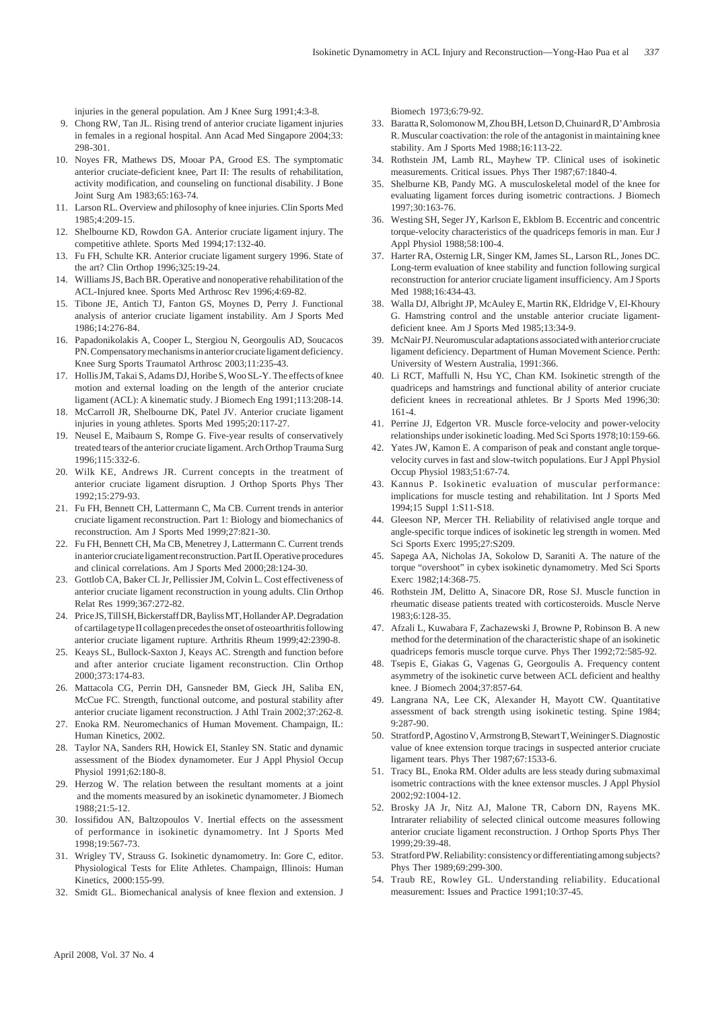injuries in the general population. Am J Knee Surg 1991;4:3-8.

- 9. Chong RW, Tan JL. Rising trend of anterior cruciate ligament injuries in females in a regional hospital. Ann Acad Med Singapore 2004;33: 298-301.
- 10. Noyes FR, Mathews DS, Mooar PA, Grood ES. The symptomatic anterior cruciate-deficient knee, Part II: The results of rehabilitation, activity modification, and counseling on functional disability. J Bone Joint Surg Am 1983;65:163-74.
- 11. Larson RL. Overview and philosophy of knee injuries. Clin Sports Med  $1985 \cdot 4.209 - 15$
- 12. Shelbourne KD, Rowdon GA. Anterior cruciate ligament injury. The competitive athlete. Sports Med 1994;17:132-40.
- 13. Fu FH, Schulte KR. Anterior cruciate ligament surgery 1996. State of the art? Clin Orthop 1996;325:19-24.
- 14. Williams JS, Bach BR. Operative and nonoperative rehabilitation of the ACL-Injured knee. Sports Med Arthrosc Rev 1996;4:69-82.
- 15. Tibone JE, Antich TJ, Fanton GS, Moynes D, Perry J. Functional analysis of anterior cruciate ligament instability. Am J Sports Med 1986;14:276-84.
- 16. Papadonikolakis A, Cooper L, Stergiou N, Georgoulis AD, Soucacos PN. Compensatory mechanisms in anterior cruciate ligament deficiency. Knee Surg Sports Traumatol Arthrosc 2003;11:235-43.
- 17. Hollis JM, Takai S, Adams DJ, Horibe S, Woo SL-Y. The effects of knee motion and external loading on the length of the anterior cruciate ligament (ACL): A kinematic study. J Biomech Eng 1991;113:208-14.
- 18. McCarroll JR, Shelbourne DK, Patel JV. Anterior cruciate ligament injuries in young athletes. Sports Med 1995;20:117-27.
- 19. Neusel E, Maibaum S, Rompe G. Five-year results of conservatively treated tears of the anterior cruciate ligament. Arch Orthop Trauma Surg 1996;115:332-6.
- 20. Wilk KE, Andrews JR. Current concepts in the treatment of anterior cruciate ligament disruption. J Orthop Sports Phys Ther 1992;15:279-93.
- 21. Fu FH, Bennett CH, Lattermann C, Ma CB. Current trends in anterior cruciate ligament reconstruction. Part 1: Biology and biomechanics of reconstruction. Am J Sports Med 1999;27:821-30.
- 22. Fu FH, Bennett CH, Ma CB, Menetrey J, Lattermann C. Current trends in anterior cruciate ligament reconstruction. Part II. Operative procedures and clinical correlations. Am J Sports Med 2000;28:124-30.
- 23. Gottlob CA, Baker CL Jr, Pellissier JM, Colvin L. Cost effectiveness of anterior cruciate ligament reconstruction in young adults. Clin Orthop Relat Res 1999;367:272-82.
- 24. Price JS, Till SH, Bickerstaff DR, Bayliss MT, Hollander AP. Degradation of cartilage type II collagen precedes the onset of osteoarthritis following anterior cruciate ligament rupture. Arthritis Rheum 1999;42:2390-8.
- 25. Keays SL, Bullock-Saxton J, Keays AC. Strength and function before and after anterior cruciate ligament reconstruction. Clin Orthop 2000;373:174-83.
- 26. Mattacola CG, Perrin DH, Gansneder BM, Gieck JH, Saliba EN, McCue FC. Strength, functional outcome, and postural stability after anterior cruciate ligament reconstruction. J Athl Train 2002;37:262-8.
- 27. Enoka RM. Neuromechanics of Human Movement. Champaign, IL: Human Kinetics, 2002.
- 28. Taylor NA, Sanders RH, Howick EI, Stanley SN. Static and dynamic assessment of the Biodex dynamometer. Eur J Appl Physiol Occup Physiol 1991;62:180-8.
- 29. Herzog W. The relation between the resultant moments at a joint and the moments measured by an isokinetic dynamometer. J Biomech 1988;21:5-12.
- 30. Iossifidou AN, Baltzopoulos V. Inertial effects on the assessment of performance in isokinetic dynamometry. Int J Sports Med 1998;19:567-73.
- 31. Wrigley TV, Strauss G. Isokinetic dynamometry. In: Gore C, editor. Physiological Tests for Elite Athletes. Champaign, Illinois: Human Kinetics, 2000:155-99.
- 32. Smidt GL. Biomechanical analysis of knee flexion and extension. J

Biomech 1973;6:79-92.

- 33. Baratta R, Solomonow M, Zhou BH, Letson D, Chuinard R, D'Ambrosia R. Muscular coactivation: the role of the antagonist in maintaining knee stability. Am J Sports Med 1988;16:113-22.
- 34. Rothstein JM, Lamb RL, Mayhew TP. Clinical uses of isokinetic measurements. Critical issues. Phys Ther 1987;67:1840-4.
- 35. Shelburne KB, Pandy MG. A musculoskeletal model of the knee for evaluating ligament forces during isometric contractions. J Biomech 1997;30:163-76.
- 36. Westing SH, Seger JY, Karlson E, Ekblom B. Eccentric and concentric torque-velocity characteristics of the quadriceps femoris in man. Eur J Appl Physiol 1988;58:100-4.
- 37. Harter RA, Osternig LR, Singer KM, James SL, Larson RL, Jones DC. Long-term evaluation of knee stability and function following surgical reconstruction for anterior cruciate ligament insufficiency. Am J Sports Med 1988;16:434-43.
- 38. Walla DJ, Albright JP, McAuley E, Martin RK, Eldridge V, El-Khoury G. Hamstring control and the unstable anterior cruciate ligamentdeficient knee. Am J Sports Med 1985;13:34-9.
- 39. McNair PJ. Neuromuscular adaptations associated with anterior cruciate ligament deficiency. Department of Human Movement Science. Perth: University of Western Australia, 1991:366.
- 40. Li RCT, Maffulli N, Hsu YC, Chan KM. Isokinetic strength of the quadriceps and hamstrings and functional ability of anterior cruciate deficient knees in recreational athletes. Br J Sports Med 1996;30: 161-4.
- 41. Perrine JJ, Edgerton VR. Muscle force-velocity and power-velocity relationships under isokinetic loading. Med Sci Sports 1978;10:159-66.
- 42. Yates JW, Kamon E. A comparison of peak and constant angle torquevelocity curves in fast and slow-twitch populations. Eur J Appl Physiol Occup Physiol 1983;51:67-74.
- 43. Kannus P. Isokinetic evaluation of muscular performance: implications for muscle testing and rehabilitation. Int J Sports Med 1994;15 Suppl 1:S11-S18.
- 44. Gleeson NP, Mercer TH. Reliability of relativised angle torque and angle-specific torque indices of isokinetic leg strength in women. Med Sci Sports Exerc 1995;27:S209.
- 45. Sapega AA, Nicholas JA, Sokolow D, Saraniti A. The nature of the torque "overshoot" in cybex isokinetic dynamometry. Med Sci Sports Exerc 1982;14:368-75.
- 46. Rothstein JM, Delitto A, Sinacore DR, Rose SJ. Muscle function in rheumatic disease patients treated with corticosteroids. Muscle Nerve 1983;6:128-35.
- 47. Afzali L, Kuwabara F, Zachazewski J, Browne P, Robinson B. A new method for the determination of the characteristic shape of an isokinetic quadriceps femoris muscle torque curve. Phys Ther 1992;72:585-92.
- 48. Tsepis E, Giakas G, Vagenas G, Georgoulis A. Frequency content asymmetry of the isokinetic curve between ACL deficient and healthy knee. J Biomech 2004;37:857-64.
- 49. Langrana NA, Lee CK, Alexander H, Mayott CW. Quantitative assessment of back strength using isokinetic testing. Spine 1984; 9:287-90.
- 50. Stratford P, Agostino V, Armstrong B, Stewart T, Weininger S. Diagnostic value of knee extension torque tracings in suspected anterior cruciate ligament tears. Phys Ther 1987;67:1533-6.
- 51. Tracy BL, Enoka RM. Older adults are less steady during submaximal isometric contractions with the knee extensor muscles. J Appl Physiol 2002;92:1004-12.
- 52. Brosky JA Jr, Nitz AJ, Malone TR, Caborn DN, Rayens MK. Intrarater reliability of selected clinical outcome measures following anterior cruciate ligament reconstruction. J Orthop Sports Phys Ther 1999;29:39-48.
- 53. Stratford PW. Reliability: consistency or differentiating among subjects? Phys Ther 1989;69:299-300.
- 54. Traub RE, Rowley GL. Understanding reliability. Educational measurement: Issues and Practice 1991;10:37-45.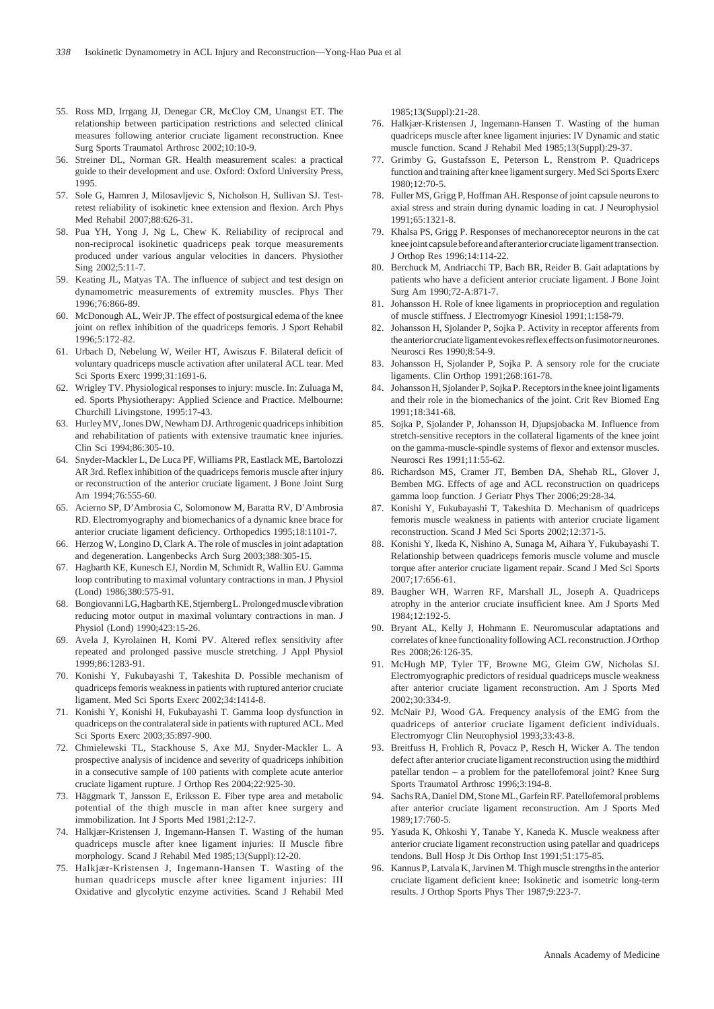- 55. Ross MD, Irrgang JJ, Denegar CR, McCloy CM, Unangst ET. The relationship between participation restrictions and selected clinical measures following anterior cruciate ligament reconstruction. Knee Surg Sports Traumatol Arthrosc 2002;10:10-9.
- 56. Streiner DL, Norman GR. Health measurement scales: a practical guide to their development and use. Oxford: Oxford University Press, 1995.
- 57. Sole G, Hamren J, Milosavljevic S, Nicholson H, Sullivan SJ. Testretest reliability of isokinetic knee extension and flexion. Arch Phys Med Rehabil 2007;88:626-31.
- 58. Pua YH, Yong J, Ng L, Chew K. Reliability of reciprocal and non-reciprocal isokinetic quadriceps peak torque measurements produced under various angular velocities in dancers. Physiother Sing 2002;5:11-7.
- 59. Keating JL, Matyas TA. The influence of subject and test design on dynamometric measurements of extremity muscles. Phys Ther 1996;76:866-89.
- 60. McDonough AL, Weir JP. The effect of postsurgical edema of the knee joint on reflex inhibition of the quadriceps femoris. J Sport Rehabil 1996;5:172-82.
- 61. Urbach D, Nebelung W, Weiler HT, Awiszus F. Bilateral deficit of voluntary quadriceps muscle activation after unilateral ACL tear. Med Sci Sports Exerc 1999;31:1691-6.
- 62. Wrigley TV. Physiological responses to injury: muscle. In: Zuluaga M, ed. Sports Physiotherapy: Applied Science and Practice. Melbourne: Churchill Livingstone, 1995:17-43.
- 63. Hurley MV, Jones DW, Newham DJ. Arthrogenic quadriceps inhibition and rehabilitation of patients with extensive traumatic knee injuries. Clin Sci 1994;86:305-10.
- 64. Snyder-Mackler L, De Luca PF, Williams PR, Eastlack ME, Bartolozzi AR 3rd. Reflex inhibition of the quadriceps femoris muscle after injury or reconstruction of the anterior cruciate ligament. J Bone Joint Surg  $Am$  1994 $(76.555-60)$
- 65. Acierno SP, D'Ambrosia C, Solomonow M, Baratta RV, D'Ambrosia RD. Electromyography and biomechanics of a dynamic knee brace for anterior cruciate ligament deficiency. Orthopedics 1995;18:1101-7.
- 66. Herzog W, Longino D, Clark A. The role of muscles in joint adaptation and degeneration. Langenbecks Arch Surg 2003;388:305-15.
- 67. Hagbarth KE, Kunesch EJ, Nordin M, Schmidt R, Wallin EU. Gamma loop contributing to maximal voluntary contractions in man. J Physiol (Lond) 1986;380:575-91.
- 68. Bongiovanni LG, Hagbarth KE, Stjernberg L. Prolonged muscle vibration reducing motor output in maximal voluntary contractions in man. J Physiol (Lond) 1990;423:15-26.
- 69. Avela J, Kyrolainen H, Komi PV. Altered reflex sensitivity after repeated and prolonged passive muscle stretching. J Appl Physiol 1999;86:1283-91.
- 70. Konishi Y, Fukubayashi T, Takeshita D. Possible mechanism of quadriceps femoris weakness in patients with ruptured anterior cruciate ligament. Med Sci Sports Exerc 2002;34:1414-8.
- 71. Konishi Y, Konishi H, Fukubayashi T. Gamma loop dysfunction in quadriceps on the contralateral side in patients with ruptured ACL. Med Sci Sports Exerc 2003;35:897-900.
- 72. Chmielewski TL, Stackhouse S, Axe MJ, Snyder-Mackler L. A prospective analysis of incidence and severity of quadriceps inhibition in a consecutive sample of 100 patients with complete acute anterior cruciate ligament rupture. J Orthop Res 2004;22:925-30.
- 73. Häggmark T, Jansson E, Eriksson E. Fiber type area and metabolic potential of the thigh muscle in man after knee surgery and immobilization. Int J Sports Med 1981;2:12-7.
- 74. Halkjær-Kristensen J, Ingemann-Hansen T. Wasting of the human quadriceps muscle after knee ligament injuries: II Muscle fibre morphology. Scand J Rehabil Med 1985;13(Suppl):12-20.
- 75. Halkjær-Kristensen J, Ingemann-Hansen T. Wasting of the human quadriceps muscle after knee ligament injuries: III Oxidative and glycolytic enzyme activities. Scand J Rehabil Med

1985;13(Suppl):21-28.

- 76. Halkjær-Kristensen J, Ingemann-Hansen T. Wasting of the human quadriceps muscle after knee ligament injuries: IV Dynamic and static muscle function. Scand J Rehabil Med 1985;13(Suppl):29-37.
- 77. Grimby G, Gustafsson E, Peterson L, Renstrom P. Quadriceps function and training after knee ligament surgery. Med Sci Sports Exerc 1980;12:70-5.
- 78. Fuller MS, Grigg P, Hoffman AH. Response of joint capsule neurons to axial stress and strain during dynamic loading in cat. J Neurophysiol  $1991.65.1321 - 8$
- 79. Khalsa PS, Grigg P. Responses of mechanoreceptor neurons in the cat knee joint capsule before and after anterior cruciate ligament transection. J Orthop Res 1996;14:114-22.
- 80. Berchuck M, Andriacchi TP, Bach BR, Reider B. Gait adaptations by patients who have a deficient anterior cruciate ligament. J Bone Joint Surg Am 1990;72-A:871-7.
- 81. Johansson H. Role of knee ligaments in proprioception and regulation of muscle stiffness. J Electromyogr Kinesiol 1991;1:158-79.
- 82. Johansson H, Sjolander P, Sojka P. Activity in receptor afferents from the anterior cruciate ligament evokes reflex effects on fusimotor neurones. Neurosci Res 1990;8:54-9.
- 83. Johansson H, Sjolander P, Sojka P. A sensory role for the cruciate ligaments. Clin Orthop 1991;268:161-78.
- 84. Johansson H, Sjolander P, Sojka P. Receptors in the knee joint ligaments and their role in the biomechanics of the joint. Crit Rev Biomed Eng 1991;18:341-68.
- 85. Sojka P, Sjolander P, Johansson H, Djupsjobacka M. Influence from stretch-sensitive receptors in the collateral ligaments of the knee joint on the gamma-muscle-spindle systems of flexor and extensor muscles. Neurosci Res 1991;11:55-62.
- 86. Richardson MS, Cramer JT, Bemben DA, Shehab RL, Glover J, Bemben MG. Effects of age and ACL reconstruction on quadriceps gamma loop function. J Geriatr Phys Ther 2006;29:28-34.
- 87. Konishi Y, Fukubayashi T, Takeshita D. Mechanism of quadriceps femoris muscle weakness in patients with anterior cruciate ligament reconstruction. Scand J Med Sci Sports 2002;12:371-5.
- 88. Konishi Y, Ikeda K, Nishino A, Sunaga M, Aihara Y, Fukubayashi T. Relationship between quadriceps femoris muscle volume and muscle torque after anterior cruciate ligament repair. Scand J Med Sci Sports 2007;17:656-61.
- 89. Baugher WH, Warren RF, Marshall JL, Joseph A. Quadriceps atrophy in the anterior cruciate insufficient knee. Am J Sports Med 1984;12:192-5.
- 90. Bryant AL, Kelly J, Hohmann E. Neuromuscular adaptations and correlates of knee functionality following ACL reconstruction. J Orthop Res 2008;26:126-35.
- 91. McHugh MP, Tyler TF, Browne MG, Gleim GW, Nicholas SJ. Electromyographic predictors of residual quadriceps muscle weakness after anterior cruciate ligament reconstruction. Am J Sports Med 2002;30:334-9.
- 92. McNair PJ, Wood GA. Frequency analysis of the EMG from the quadriceps of anterior cruciate ligament deficient individuals. Electromyogr Clin Neurophysiol 1993;33:43-8.
- 93. Breitfuss H, Frohlich R, Povacz P, Resch H, Wicker A. The tendon defect after anterior cruciate ligament reconstruction using the midthird patellar tendon – a problem for the patellofemoral joint? Knee Surg Sports Traumatol Arthrosc 1996;3:194-8.
- 94. Sachs RA, Daniel DM, Stone ML, Garfein RF. Patellofemoral problems after anterior cruciate ligament reconstruction. Am J Sports Med 1989;17:760-5.
- 95. Yasuda K, Ohkoshi Y, Tanabe Y, Kaneda K. Muscle weakness after anterior cruciate ligament reconstruction using patellar and quadriceps tendons. Bull Hosp Jt Dis Orthop Inst 1991;51:175-85.
- 96. Kannus P, Latvala K, Jarvinen M. Thigh muscle strengths in the anterior cruciate ligament deficient knee: Isokinetic and isometric long-term results. J Orthop Sports Phys Ther 1987;9:223-7.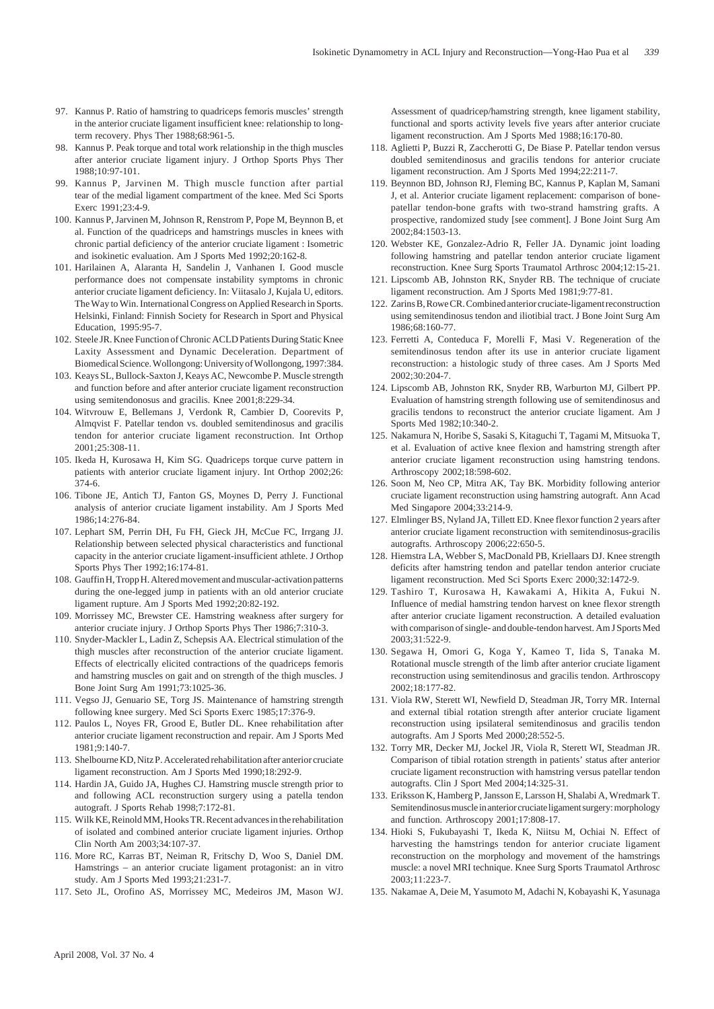- 97. Kannus P. Ratio of hamstring to quadriceps femoris muscles' strength in the anterior cruciate ligament insufficient knee: relationship to longterm recovery. Phys Ther 1988;68:961-5.
- 98. Kannus P. Peak torque and total work relationship in the thigh muscles after anterior cruciate ligament injury. J Orthop Sports Phys Ther 1988;10:97-101.
- 99. Kannus P, Jarvinen M. Thigh muscle function after partial tear of the medial ligament compartment of the knee. Med Sci Sports Exerc 1991;23:4-9.
- 100. Kannus P, Jarvinen M, Johnson R, Renstrom P, Pope M, Beynnon B, et al. Function of the quadriceps and hamstrings muscles in knees with chronic partial deficiency of the anterior cruciate ligament : Isometric and isokinetic evaluation. Am J Sports Med 1992;20:162-8.
- 101. Harilainen A, Alaranta H, Sandelin J, Vanhanen I. Good muscle performance does not compensate instability symptoms in chronic anterior cruciate ligament deficiency. In: Viitasalo J, Kujala U, editors. The Way to Win. International Congress on Applied Research in Sports. Helsinki, Finland: Finnish Society for Research in Sport and Physical Education, 1995:95-7.
- 102. Steele JR. Knee Function of Chronic ACLD Patients During Static Knee Laxity Assessment and Dynamic Deceleration. Department of Biomedical Science. Wollongong: University of Wollongong, 1997:384.
- 103. Keays SL, Bullock-Saxton J, Keays AC, Newcombe P. Muscle strength and function before and after anterior cruciate ligament reconstruction using semitendonosus and gracilis. Knee 2001;8:229-34.
- 104. Witvrouw E, Bellemans J, Verdonk R, Cambier D, Coorevits P, Almqvist F. Patellar tendon vs. doubled semitendinosus and gracilis tendon for anterior cruciate ligament reconstruction. Int Orthop 2001;25:308-11.
- 105. Ikeda H, Kurosawa H, Kim SG. Quadriceps torque curve pattern in patients with anterior cruciate ligament injury. Int Orthop 2002;26: 374-6.
- 106. Tibone JE, Antich TJ, Fanton GS, Moynes D, Perry J. Functional analysis of anterior cruciate ligament instability. Am J Sports Med 1986;14:276-84.
- 107. Lephart SM, Perrin DH, Fu FH, Gieck JH, McCue FC, Irrgang JJ. Relationship between selected physical characteristics and functional capacity in the anterior cruciate ligament-insufficient athlete. J Orthop Sports Phys Ther 1992;16:174-81.
- 108. Gauffin H, Tropp H. Altered movement and muscular-activation patterns during the one-legged jump in patients with an old anterior cruciate ligament rupture. Am J Sports Med 1992;20:82-192.
- 109. Morrissey MC, Brewster CE. Hamstring weakness after surgery for anterior cruciate injury. J Orthop Sports Phys Ther 1986;7:310-3.
- 110. Snyder-Mackler L, Ladin Z, Schepsis AA. Electrical stimulation of the thigh muscles after reconstruction of the anterior cruciate ligament. Effects of electrically elicited contractions of the quadriceps femoris and hamstring muscles on gait and on strength of the thigh muscles. J Bone Joint Surg Am 1991;73:1025-36.
- 111. Vegso JJ, Genuario SE, Torg JS. Maintenance of hamstring strength following knee surgery. Med Sci Sports Exerc 1985;17:376-9.
- 112. Paulos L, Noyes FR, Grood E, Butler DL. Knee rehabilitation after anterior cruciate ligament reconstruction and repair. Am J Sports Med  $1981.9.140 - 7$
- 113. Shelbourne KD, Nitz P. Accelerated rehabilitation after anterior cruciate ligament reconstruction. Am J Sports Med 1990;18:292-9.
- 114. Hardin JA, Guido JA, Hughes CJ. Hamstring muscle strength prior to and following ACL reconstruction surgery using a patella tendon autograft. J Sports Rehab 1998;7:172-81.
- 115. Wilk KE, Reinold MM, Hooks TR. Recent advances in the rehabilitation of isolated and combined anterior cruciate ligament injuries. Orthop Clin North Am 2003;34:107-37.
- 116. More RC, Karras BT, Neiman R, Fritschy D, Woo S, Daniel DM. Hamstrings – an anterior cruciate ligament protagonist: an in vitro study. Am J Sports Med 1993;21:231-7.
- 117. Seto JL, Orofino AS, Morrissey MC, Medeiros JM, Mason WJ.

Assessment of quadricep/hamstring strength, knee ligament stability, functional and sports activity levels five years after anterior cruciate ligament reconstruction. Am J Sports Med 1988;16:170-80.

- 118. Aglietti P, Buzzi R, Zaccherotti G, De Biase P. Patellar tendon versus doubled semitendinosus and gracilis tendons for anterior cruciate ligament reconstruction. Am J Sports Med 1994;22:211-7.
- 119. Beynnon BD, Johnson RJ, Fleming BC, Kannus P, Kaplan M, Samani J, et al. Anterior cruciate ligament replacement: comparison of bonepatellar tendon-bone grafts with two-strand hamstring grafts. A prospective, randomized study [see comment]. J Bone Joint Surg Am 2002;84:1503-13.
- 120. Webster KE, Gonzalez-Adrio R, Feller JA. Dynamic joint loading following hamstring and patellar tendon anterior cruciate ligament reconstruction. Knee Surg Sports Traumatol Arthrosc 2004;12:15-21.
- 121. Lipscomb AB, Johnston RK, Snyder RB. The technique of cruciate ligament reconstruction. Am J Sports Med 1981;9:77-81.
- 122. Zarins B, Rowe CR. Combined anterior cruciate-ligament reconstruction using semitendinosus tendon and iliotibial tract. J Bone Joint Surg Am 1986;68:160-77.
- 123. Ferretti A, Conteduca F, Morelli F, Masi V. Regeneration of the semitendinosus tendon after its use in anterior cruciate ligament reconstruction: a histologic study of three cases. Am J Sports Med 2002;30:204-7.
- 124. Lipscomb AB, Johnston RK, Snyder RB, Warburton MJ, Gilbert PP. Evaluation of hamstring strength following use of semitendinosus and gracilis tendons to reconstruct the anterior cruciate ligament. Am J Sports Med 1982;10:340-2.
- 125. Nakamura N, Horibe S, Sasaki S, Kitaguchi T, Tagami M, Mitsuoka T, et al. Evaluation of active knee flexion and hamstring strength after anterior cruciate ligament reconstruction using hamstring tendons. Arthroscopy 2002;18:598-602.
- 126. Soon M, Neo CP, Mitra AK, Tay BK. Morbidity following anterior cruciate ligament reconstruction using hamstring autograft. Ann Acad Med Singapore 2004;33:214-9.
- 127. Elmlinger BS, Nyland JA, Tillett ED. Knee flexor function 2 years after anterior cruciate ligament reconstruction with semitendinosus-gracilis autografts. Arthroscopy 2006;22:650-5.
- 128. Hiemstra LA, Webber S, MacDonald PB, Kriellaars DJ. Knee strength deficits after hamstring tendon and patellar tendon anterior cruciate ligament reconstruction. Med Sci Sports Exerc 2000;32:1472-9.
- 129. Tashiro T, Kurosawa H, Kawakami A, Hikita A, Fukui N. Influence of medial hamstring tendon harvest on knee flexor strength after anterior cruciate ligament reconstruction. A detailed evaluation with comparison of single- and double-tendon harvest. Am J Sports Med 2003;31:522-9.
- 130. Segawa H, Omori G, Koga Y, Kameo T, Iida S, Tanaka M. Rotational muscle strength of the limb after anterior cruciate ligament reconstruction using semitendinosus and gracilis tendon. Arthroscopy 2002;18:177-82.
- 131. Viola RW, Sterett WI, Newfield D, Steadman JR, Torry MR. Internal and external tibial rotation strength after anterior cruciate ligament reconstruction using ipsilateral semitendinosus and gracilis tendon autografts. Am J Sports Med 2000;28:552-5.
- 132. Torry MR, Decker MJ, Jockel JR, Viola R, Sterett WI, Steadman JR. Comparison of tibial rotation strength in patients' status after anterior cruciate ligament reconstruction with hamstring versus patellar tendon autografts. Clin J Sport Med 2004;14:325-31.
- 133. Eriksson K, Hamberg P, Jansson E, Larsson H, Shalabi A, Wredmark T. Semitendinosus muscle in anterior cruciate ligament surgery: morphology and function. Arthroscopy 2001;17:808-17.
- 134. Hioki S, Fukubayashi T, Ikeda K, Niitsu M, Ochiai N. Effect of harvesting the hamstrings tendon for anterior cruciate ligament reconstruction on the morphology and movement of the hamstrings muscle: a novel MRI technique. Knee Surg Sports Traumatol Arthrosc 2003;11:223-7.
- 135. Nakamae A, Deie M, Yasumoto M, Adachi N, Kobayashi K, Yasunaga